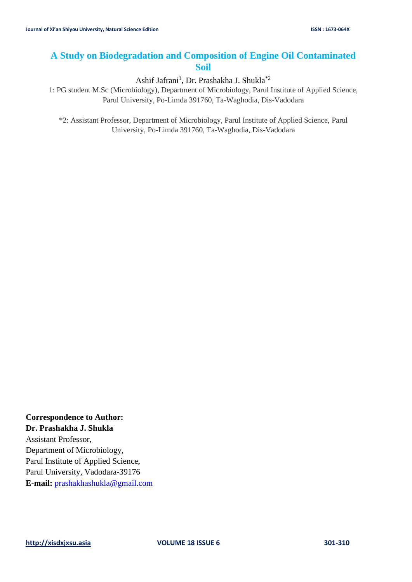# **A Study on Biodegradation and Composition of Engine Oil Contaminated Soil**

Ashif Jafrani<sup>1</sup>, Dr. Prashakha J. Shukla<sup>\*2</sup>

1: PG student M.Sc (Microbiology), Department of Microbiology, Parul Institute of Applied Science, Parul University, Po-Limda 391760, Ta-Waghodia, Dis-Vadodara

\*2: Assistant Professor, Department of Microbiology, Parul Institute of Applied Science, Parul University, Po-Limda 391760, Ta-Waghodia, Dis-Vadodara

**Correspondence to Author: Dr. Prashakha J. Shukla** Assistant Professor, Department of Microbiology, Parul Institute of Applied Science, Parul University, Vadodara-39176 **E-mail:** [prashakhashukla@gmail.com](mailto:prashakhashukla@gmail.com)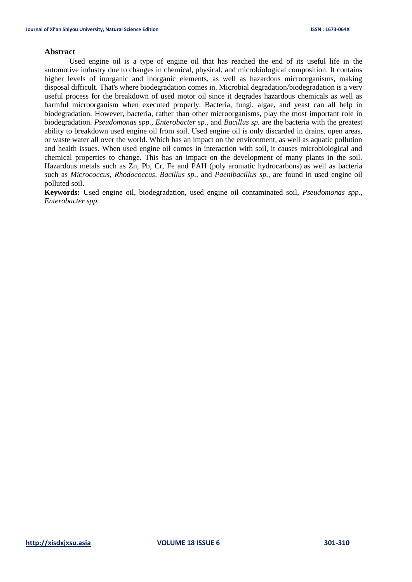## **Abstract**

Used engine oil is a type of engine oil that has reached the end of its useful life in the automotive industry due to changes in chemical, physical, and microbiological composition. It contains higher levels of inorganic and inorganic elements, as well as hazardous microorganisms, making disposal difficult. That's where biodegradation comes in. Microbial degradation/biodegradation is a very useful process for the breakdown of used motor oil since it degrades hazardous chemicals as well as harmful microorganism when executed properly. Bacteria, fungi, algae, and yeast can all help in biodegradation. However, bacteria, rather than other microorganisms, play the most important role in biodegradation. *Pseudomonas spp., Enterobacter sp.*, and *Bacillus sp.* are the bacteria with the greatest ability to breakdown used engine oil from soil. Used engine oil is only discarded in drains, open areas, or waste water all over the world. Which has an impact on the environment, as well as aquatic pollution and health issues. When used engine oil comes in interaction with soil, it causes microbiological and chemical properties to change. This has an impact on the development of many plants in the soil. Hazardous metals such as Zn, Pb, Cr, Fe and PAH (poly aromatic hydrocarbons) as well as bacteria such as *Micrococcus, Rhodococcus, Bacillus sp.,* and *Paenibacillus sp.*, are found in used engine oil polluted soil.

**Keywords:** Used engine oil, biodegradation, used engine oil contaminated soil, *Pseudomonas spp.*, *Enterobacter spp.*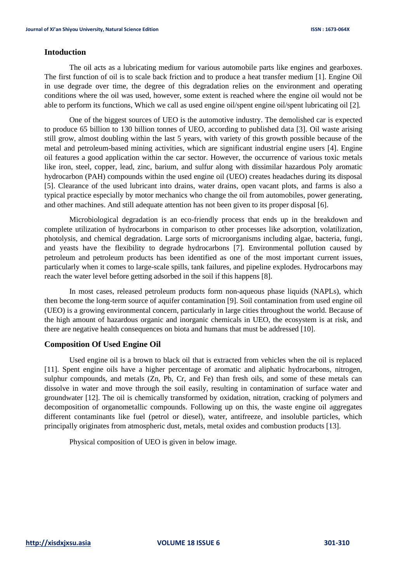## **Intoduction**

The oil acts as a lubricating medium for various automobile parts like engines and gearboxes. The first function of oil is to scale back friction and to produce a heat transfer medium [1]. Engine Oil in use degrade over time, the degree of this degradation relies on the environment and operating conditions where the oil was used, however, some extent is reached where the engine oil would not be able to perform its functions, Which we call as used engine oil/spent engine oil/spent lubricating oil [2].

One of the biggest sources of UEO is the automotive industry. The demolished car is expected to produce 65 billion to 130 billion tonnes of UEO, according to published data [3]. Oil waste arising still grow, almost doubling within the last 5 years, with variety of this growth possible because of the metal and petroleum-based mining activities, which are significant industrial engine users [4]. Engine oil features a good application within the car sector. However, the occurrence of various toxic metals like iron, steel, copper, lead, zinc, barium, and sulfur along with dissimilar hazardous Poly aromatic hydrocarbon (PAH) compounds within the used engine oil (UEO) creates headaches during its disposal [5]. Clearance of the used lubricant into drains, water drains, open vacant plots, and farms is also a typical practice especially by motor mechanics who change the oil from automobiles, power generating, and other machines. And still adequate attention has not been given to its proper disposal [6].

Microbiological degradation is an eco-friendly process that ends up in the breakdown and complete utilization of hydrocarbons in comparison to other processes like adsorption, volatilization, photolysis, and chemical degradation. Large sorts of microorganisms including algae, bacteria, fungi, and yeasts have the flexibility to degrade hydrocarbons [7]. Environmental pollution caused by petroleum and petroleum products has been identified as one of the most important current issues, particularly when it comes to large-scale spills, tank failures, and pipeline explodes. Hydrocarbons may reach the water level before getting adsorbed in the soil if this happens [8].

In most cases, released petroleum products form non-aqueous phase liquids (NAPLs), which then become the long-term source of aquifer contamination [9]. Soil contamination from used engine oil (UEO) is a growing environmental concern, particularly in large cities throughout the world. Because of the high amount of hazardous organic and inorganic chemicals in UEO, the ecosystem is at risk, and there are negative health consequences on biota and humans that must be addressed [10].

## **Composition Of Used Engine Oil**

Used engine oil is a brown to black oil that is extracted from vehicles when the oil is replaced [11]. Spent engine oils have a higher percentage of aromatic and aliphatic hydrocarbons, nitrogen, sulphur compounds, and metals (Zn, Pb, Cr, and Fe) than fresh oils, and some of these metals can dissolve in water and move through the soil easily, resulting in contamination of surface water and groundwater [12]. The oil is chemically transformed by oxidation, nitration, cracking of polymers and decomposition of organometallic compounds. Following up on this, the waste engine oil aggregates different contaminants like fuel (petrol or diesel), water, antifreeze, and insoluble particles, which principally originates from atmospheric dust, metals, metal oxides and combustion products [13].

Physical composition of UEO is given in below image.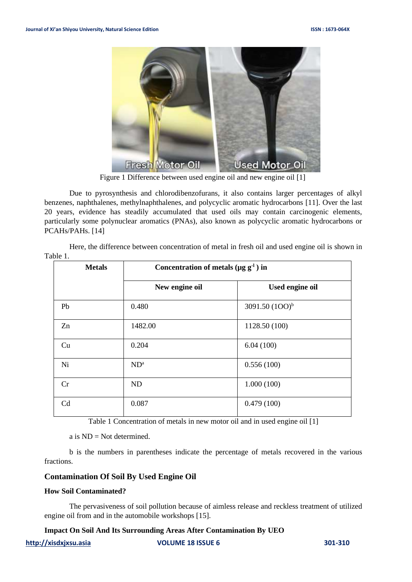

Figure 1 Difference between used engine oil and new engine oil [\[1\]](#page-9-0)

Due to pyrosynthesis and chlorodibenzofurans, it also contains larger percentages of alkyl benzenes, naphthalenes, methylnaphthalenes, and polycyclic aromatic hydrocarbons [11]. Over the last 20 years, evidence has steadily accumulated that used oils may contain carcinogenic elements, particularly some polynuclear aromatics (PNAs), also known as polycyclic aromatic hydrocarbons or PCAHs/PAHs. [14]

Here, the difference between concentration of metal in fresh oil and used engine oil is shown in [Table 1.](#page-3-0)

| <b>Metals</b>  | Concentration of metals ( $\mu$ g g <sup>-1</sup> ) in |                   |  |  |  |
|----------------|--------------------------------------------------------|-------------------|--|--|--|
|                | New engine oil                                         | Used engine oil   |  |  |  |
| Pb             | 0.480                                                  | 3091.50 $(100)^b$ |  |  |  |
| Zn             | 1482.00                                                | 1128.50 (100)     |  |  |  |
| Cu             | 0.204                                                  | 6.04(100)         |  |  |  |
| Ni             | $ND^a$                                                 | 0.556(100)        |  |  |  |
| Cr             | ND                                                     | 1.000(100)        |  |  |  |
| C <sub>d</sub> | 0.087                                                  | 0.479(100)        |  |  |  |

Table 1 Concentration of metals in new motor oil and in used engine oil [\[1\]](#page-9-1)

a is ND = Not determined.

<span id="page-3-0"></span>b is the numbers in parentheses indicate the percentage of metals recovered in the various fractions.

## **Contamination Of Soil By Used Engine Oil**

#### **How Soil Contaminated?**

The pervasiveness of soil pollution because of aimless release and reckless treatment of utilized engine oil from and in the automobile workshops [15].

## **Impact On Soil And Its Surrounding Areas After Contamination By UEO**

**[http://xisdxjxsu.asia](http://xisdxjxsu.asia/) VOLUME 18 ISSUE 6 301-310**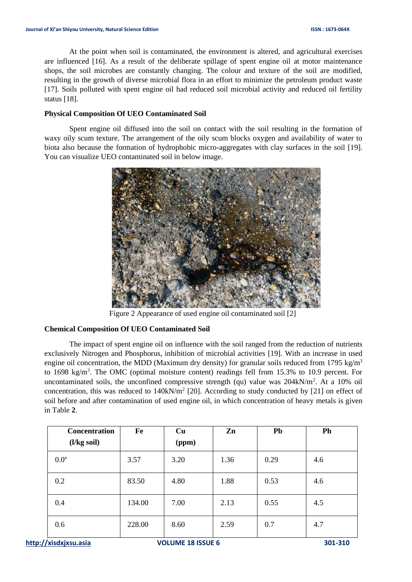At the point when soil is contaminated, the environment is altered, and agricultural exercises are influenced [16]. As a result of the deliberate spillage of spent engine oil at motor maintenance shops, the soil microbes are constantly changing. The colour and texture of the soil are modified, resulting in the growth of diverse microbial flora in an effort to minimize the petroleum product waste [17]. Soils polluted with spent engine oil had reduced soil microbial activity and reduced oil fertility status [18].

## **Physical Composition Of UEO Contaminated Soil**

Spent engine oil diffused into the soil on contact with the soil resulting in the formation of waxy oily scum texture. The arrangement of the oily scum blocks oxygen and availability of water to biota also because the formation of hydrophobic micro-aggregates with clay surfaces in the soil [19]. You can visualize UEO contaminated soil in below image.



Figure 2 Appearance of used engine oil contaminated soil [\[2\]](#page-9-2)

## **Chemical Composition Of UEO Contaminated Soil**

The impact of spent engine oil on influence with the soil ranged from the reduction of nutrients exclusively Nitrogen and Phosphorus, inhibition of microbial activities [19]. With an increase in used engine oil concentration, the MDD (Maximum dry density) for granular soils reduced from 1795 kg/m<sup>3</sup> to 1698 kg/m<sup>3</sup>. The OMC (optimal moisture content) readings fell from 15.3% to 10.9 percent. For uncontaminated soils, the unconfined compressive strength (qu) value was  $204kN/m<sup>2</sup>$ . At a 10% oil concentration, this was reduced to  $140kN/m^2$  [20]. According to study conducted by [21] on effect of soil before and after contamination of used engine oil, in which concentration of heavy metals is given in [Table](#page-5-0) **2**.

| Concentration<br>$(l/kg\,$ soil $)$ | Fe     | Cu<br>(ppm) | Zn   | P <sub>b</sub> | Ph  |
|-------------------------------------|--------|-------------|------|----------------|-----|
| 0.0 <sup>a</sup>                    | 3.57   | 3.20        | 1.36 | 0.29           | 4.6 |
| 0.2                                 | 83.50  | 4.80        | 1.88 | 0.53           | 4.6 |
| 0.4                                 | 134.00 | 7.00        | 2.13 | 0.55           | 4.5 |
| 0.6                                 | 228.00 | 8.60        | 2.59 | 0.7            | 4.7 |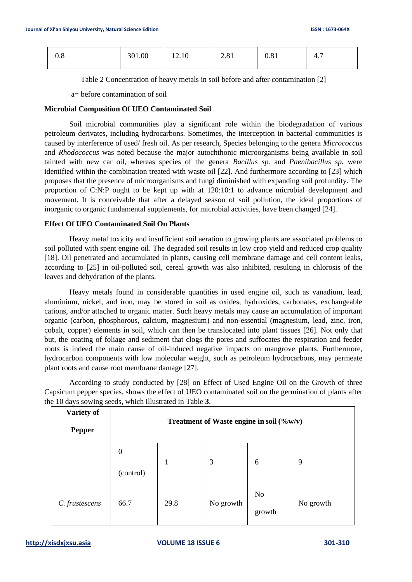| U.8 | 301.00 | 12.10 | າ 01<br>2.01 | 0.81 | -<br>z<br>-<br>┱., |
|-----|--------|-------|--------------|------|--------------------|
|     |        |       |              |      |                    |

Table 2 Concentration of heavy metals in soil before and after contamination [\[2\]](#page-9-3)

a= before contamination of soil

#### <span id="page-5-0"></span>**Microbial Composition Of UEO Contaminated Soil**

Soil microbial communities play a significant role within the biodegradation of various petroleum derivates, including hydrocarbons. Sometimes, the interception in bacterial communities is caused by interference of used/ fresh oil. As per research, Species belonging to the genera *Micrococcus* and *Rhodococcus* was noted because the major autochthonic microorganisms being available in soil tainted with new car oil, whereas species of the genera *Bacillus sp.* and *Paenibacillus sp.* were identified within the combination treated with waste oil [22]. And furthermore according to [23] which proposes that the presence of microorganisms and fungi diminished with expanding soil profundity. The proportion of C:N:P ought to be kept up with at 120:10:1 to advance microbial development and movement. It is conceivable that after a delayed season of soil pollution, the ideal proportions of inorganic to organic fundamental supplements, for microbial activities, have been changed [24].

## **Effect Of UEO Contaminated Soil On Plants**

Heavy metal toxicity and insufficient soil aeration to growing plants are associated problems to soil polluted with spent engine oil. The degraded soil results in low crop yield and reduced crop quality [18]. Oil penetrated and accumulated in plants, causing cell membrane damage and cell content leaks, according to [25] in oil-polluted soil, cereal growth was also inhibited, resulting in chlorosis of the leaves and dehydration of the plants.

Heavy metals found in considerable quantities in used engine oil, such as vanadium, lead, aluminium, nickel, and iron, may be stored in soil as oxides, hydroxides, carbonates, exchangeable cations, and/or attached to organic matter. Such heavy metals may cause an accumulation of important organic (carbon, phosphorous, calcium, magnesium) and non-essential (magnesium, lead, zinc, iron, cobalt, copper) elements in soil, which can then be translocated into plant tissues [26]. Not only that but, the coating of foliage and sediment that clogs the pores and suffocates the respiration and feeder roots is indeed the main cause of oil-induced negative impacts on mangrove plants. Furthermore, hydrocarbon components with low molecular weight, such as petroleum hydrocarbons, may permeate plant roots and cause root membrane damage [27].

According to study conducted by [28] on Effect of Used Engine Oil on the Growth of three Capsicum pepper species, shows the effect of UEO contaminated soil on the germination of plants after the 10 days sowing seeds, which illustrated i[n Table](#page-6-0) **3**.

| Variety of<br><b>Pepper</b> | Treatment of Waste engine in soil $(\%w/v)$ |      |           |                     |           |  |
|-----------------------------|---------------------------------------------|------|-----------|---------------------|-----------|--|
|                             | $\boldsymbol{0}$<br>(control)               | 1    | 3         | 6                   | 9         |  |
| C. frustescens              | 66.7                                        | 29.8 | No growth | <b>No</b><br>growth | No growth |  |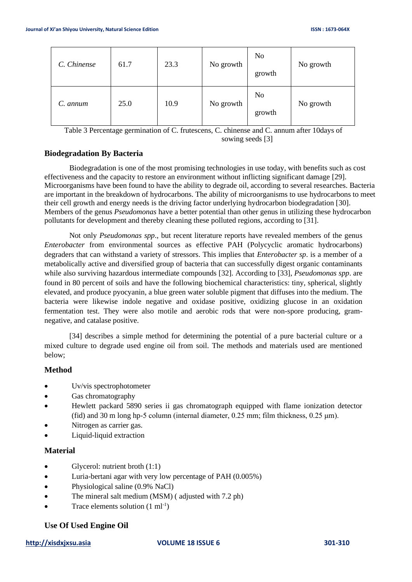| C. Chinense | 61.7 | 23.3 | No growth | N <sub>o</sub><br>growth | No growth |
|-------------|------|------|-----------|--------------------------|-----------|
| C. annum    | 25.0 | 10.9 | No growth | No<br>growth             | No growth |

Table 3 Percentage germination of C. frutescens, C. chinense and C. annum after 10days of sowing seeds [\[3\]](#page-9-4)

## <span id="page-6-0"></span>**Biodegradation By Bacteria**

Biodegradation is one of the most promising technologies in use today, with benefits such as cost effectiveness and the capacity to restore an environment without inflicting significant damage [29]. Microorganisms have been found to have the ability to degrade oil, according to several researches. Bacteria are important in the breakdown of hydrocarbons. The ability of microorganisms to use hydrocarbons to meet their cell growth and energy needs is the driving factor underlying hydrocarbon biodegradation [30]. Members of the genus *Pseudomonas* have a better potential than other genus in utilizing these hydrocarbon pollutants for development and thereby cleaning these polluted regions, according to [31].

Not only *Pseudomonas spp*., but recent literature reports have revealed members of the genus *Enterobacter* from environmental sources as effective PAH (Polycyclic aromatic hydrocarbons) degraders that can withstand a variety of stressors. This implies that *Enterobacter sp*. is a member of a metabolically active and diversified group of bacteria that can successfully digest organic contaminants while also surviving hazardous intermediate compounds [32]. According to [33], *Pseudomonas spp*. are found in 80 percent of soils and have the following biochemical characteristics: tiny, spherical, slightly elevated, and produce pyocyanin, a blue green water soluble pigment that diffuses into the medium. The bacteria were likewise indole negative and oxidase positive, oxidizing glucose in an oxidation fermentation test. They were also motile and aerobic rods that were non-spore producing, gramnegative, and catalase positive.

[34] describes a simple method for determining the potential of a pure bacterial culture or a mixed culture to degrade used engine oil from soil. The methods and materials used are mentioned below;

## **Method**

- Uv/vis spectrophotometer
- Gas chromatography
- Hewlett packard 5890 series ii gas chromatograph equipped with flame ionization detector (fid) and 30 m long hp-5 column (internal diameter, 0.25 mm; film thickness, 0.25 μm).
- Nitrogen as carrier gas.
- Liquid-liquid extraction

## **Material**

- Glycerol: nutrient broth  $(1:1)$
- Luria-bertani agar with very low percentage of PAH (0.005%)
- Physiological saline (0.9% NaCl)
- The mineral salt medium (MSM) (adjusted with 7.2 ph)
- Trace elements solution  $(1 \text{ ml}^{-1})$

# **Use Of Used Engine Oil**

## **[http://xisdxjxsu.asia](http://xisdxjxsu.asia/) VOLUME 18 ISSUE 6 301-310**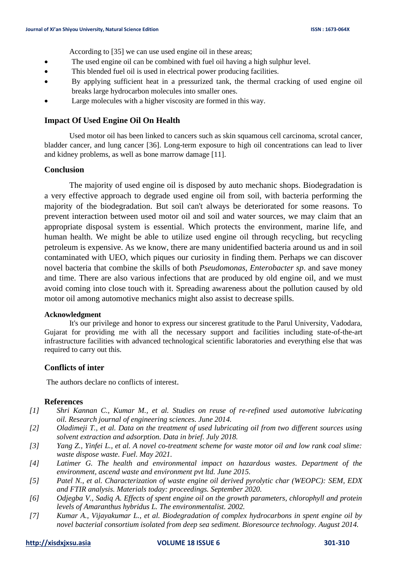According to [35] we can use used engine oil in these areas;

- The used engine oil can be combined with fuel oil having a high sulphur level.
- This blended fuel oil is used in electrical power producing facilities.
- By applying sufficient heat in a pressurized tank, the thermal cracking of used engine oil breaks large hydrocarbon molecules into smaller ones.
- Large molecules with a higher viscosity are formed in this way.

## **Impact Of Used Engine Oil On Health**

Used motor oil has been linked to cancers such as skin squamous cell carcinoma, scrotal cancer, bladder cancer, and lung cancer [36]. Long-term exposure to high oil concentrations can lead to liver and kidney problems, as well as bone marrow damage [11].

## **Conclusion**

The majority of used engine oil is disposed by auto mechanic shops. Biodegradation is a very effective approach to degrade used engine oil from soil, with bacteria performing the majority of the biodegradation. But soil can't always be deteriorated for some reasons. To prevent interaction between used motor oil and soil and water sources, we may claim that an appropriate disposal system is essential. Which protects the environment, marine life, and human health. We might be able to utilize used engine oil through recycling, but recycling petroleum is expensive. As we know, there are many unidentified bacteria around us and in soil contaminated with UEO, which piques our curiosity in finding them. Perhaps we can discover novel bacteria that combine the skills of both *Pseudomonas*, *Enterobacter sp*. and save money and time. There are also various infections that are produced by old engine oil, and we must avoid coming into close touch with it. Spreading awareness about the pollution caused by old motor oil among automotive mechanics might also assist to decrease spills.

## **Acknowledgment**

It's our privilege and honor to express our sincerest gratitude to the Parul University, Vadodara, Gujarat for providing me with all the necessary support and facilities including state-of-the-art infrastructure facilities with advanced technological scientific laboratories and everything else that was required to carry out this.

## **Conflicts of inter**

The authors declare no conflicts of interest.

#### **References**

- *[1] Shri Kannan C., Kumar M., et al. Studies on reuse of re-refined used automotive lubricating oil. Research journal of engineering sciences. June 2014.*
- *[2] Oladimeji T., et al. Data on the treatment of used lubricating oil from two different sources using solvent extraction and adsorption. Data in brief. July 2018.*
- *[3] Yang Z., Yinfei L., et al. A novel co-treatment scheme for waste motor oil and low rank coal slime: waste dispose waste. Fuel. May 2021.*
- *[4] Latimer G. The health and environmental impact on hazardous wastes. Department of the environment, ascend waste and environment pvt ltd. June 2015.*
- *[5] Patel N., et al. Characterization of waste engine oil derived pyrolytic char (WEOPC): SEM, EDX and FTIR analysis. Materials today: proceedings. September 2020.*
- *[6] Odjegba V., Sadiq A. Effects of spent engine oil on the growth parameters, chlorophyll and protein levels of Amaranthus hybridus L. The environmentalist. 2002.*
- *[7] Kumar A., Vijayakumar L., et al. Biodegradation of complex hydrocarbons in spent engine oil by novel bacterial consortium isolated from deep sea sediment. Bioresource technology. August 2014.*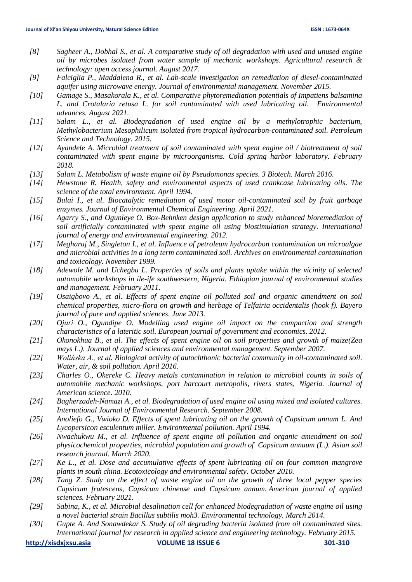- *[8] Sagheer A., Dobhal S., et al. A comparative study of oil degradation with used and unused engine oil by microbes isolated from water sample of mechanic workshops. Agricultural research & technology: open access journal. August 2017.*
- *[9] Falciglia P., Maddalena R., et al. Lab-scale investigation on remediation of diesel-contaminated aquifer using microwave energy. Journal of environmental management. November 2015.*
- *[10] Gamage S., Masakorala K., et al. Comparative phytoremediation potentials of Impatiens balsamina L. and Crotalaria retusa L. for soil contaminated with used lubricating oil. Environmental advances. August 2021.*
- *[11] Salam L., et al. Biodegradation of used engine oil by a methylotrophic bacterium, Methylobacterium Mesophilicum isolated from tropical hydrocarbon-contaminated soil. Petroleum Science and Technology. 2015.*
- *[12] Ayandele A. Microbial treatment of soil contaminated with spent engine oil / biotreatment of soil contaminated with spent engine by microorganisms. Cold spring harbor laboratory. February 2018.*
- *[13] Salam L. Metabolism of waste engine oil by Pseudomonas species. 3 Biotech. March 2016.*
- *[14] Hewstone R. Health, safety and environmental aspects of used crankcase lubricating oils. The science of the total environment. April 1994.*
- *[15] Bulai I., et al. Biocatalytic remediation of used motor oil-contaminated soil by fruit garbage enzymes. Journal of Environmental Chemical Engineering. April 2021.*
- *[16] Agarry S., and Ogunleye O. Box-Behnken design application to study enhanced bioremediation of soil artificially contaminated with spent engine oil using biostimulation strategy. International journal of energy and environmental engineering. 2012.*
- *[17] Megharaj M., Singleton I., et al. Influence of petroleum hydrocarbon contamination on microalgae and microbial activities in a long term contaminated soil. Archives on environmental contamination and toxicology. November 1999.*
- *[18] Adewole M. and Uchegbu L. Properties of soils and plants uptake within the vicinity of selected automobile workshops in ile-ife southwestern, Nigeria. Ethiopian journal of environmental studies and management. February 2011.*
- *[19] Osaigbovo A., et al. Effects of spent engine oil polluted soil and organic amendment on soil chemical properties, micro-flora on growth and herbage of Telfairia occidentalis (hook f). Bayero journal of pure and applied sciences. June 2013.*
- *[20] Ojuri O., Ogundipe O. Modelling used engine oil impact on the compaction and strength characteristics of a lateritic soil. European journal of government and economics. 2012.*
- *[21] Okonokhua B., et al. The effects of spent engine oil on soil properties and growth of maize(Zea mays L.). Journal of applied sciences and environmental management. September 2007.*
- *[22] Wolińska A., et al. Biological activity of autochthonic bacterial community in oil-contaminated soil. Water, air, & soil pollution. April 2016.*
- *[23] Charles O., Okereke C. Heavy metals contamination in relation to microbial counts in soils of automobile mechanic workshops, port harcourt metropolis, rivers states, Nigeria. Journal of American science. 2010.*
- *[24] Bagherzadeh-Namazi A., et al. Biodegradation of used engine oil using mixed and isolated cultures. International Journal of Environmental Research. September 2008.*
- *[25] Anoliefo G., Vwioko D. Effects of spent lubricating oil on the growth of Capsicum annum L. And Lycopersicon esculentum miller. Environmental pollution. April 1994.*
- *[26] Nwachukwu M., et al. Influence of spent engine oil pollution and organic amendment on soil physicochemical properties, microbial population and growth of Capsicum annuum (L.). Asian soil research journal. March 2020.*
- *[27] Ke L., et al. Dose and accumulative effects of spent lubricating oil on four common mangrove plants in south china. Ecotoxicology and environmental safety. October 2010.*
- *[28] Tang Z. Study on the effect of waste engine oil on the growth of three local pepper species Capsicum frutescens, Capsicum chinense and Capsicum annum. American journal of applied sciences. February 2021.*
- *[29] Sabina, K., et al. Microbial desalination cell for enhanced biodegradation of waste engine oil using a novel bacterial strain Bacillus subtilis moh3. Environmental technology. March 2014.*
- *[30] Gupte A. And Sonawdekar S. Study of oil degrading bacteria isolated from oil contaminated sites. International journal for research in applied science and engineering technology. February 2015.*